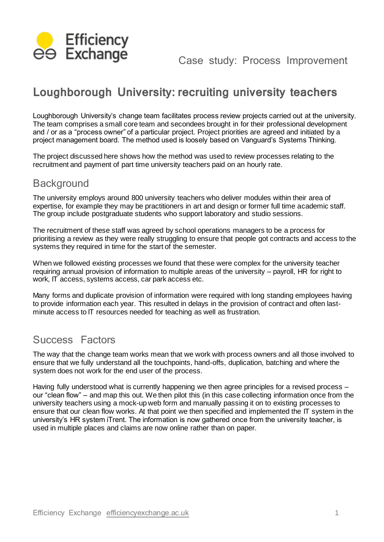

# **Loughborough University: recruiting university teachers**

Loughborough University's change team facilitates process review projects carried out at the university. The team comprises a small core team and secondees brought in for their professional development and / or as a "process owner" of a particular project. Project priorities are agreed and initiated by a project management board. The method used is loosely based on Vanguard's Systems Thinking.

The project discussed here shows how the method was used to review processes relating to the recruitment and payment of part time university teachers paid on an hourly rate.

### **Background**

The university employs around 800 university teachers who deliver modules within their area of expertise, for example they may be practitioners in art and design or former full time academic staff. The group include postgraduate students who support laboratory and studio sessions.

The recruitment of these staff was agreed by school operations managers to be a process for prioritising a review as they were really struggling to ensure that people got contracts and access to the systems they required in time for the start of the semester.

When we followed existing processes we found that these were complex for the university teacher requiring annual provision of information to multiple areas of the university – payroll, HR for right to work, IT access, systems access, car park access etc.

Many forms and duplicate provision of information were required with long standing employees having to provide information each year. This resulted in delays in the provision of contract and often lastminute access to IT resources needed for teaching as well as frustration.

### Success Factors

The way that the change team works mean that we work with process owners and all those involved to ensure that we fully understand all the touchpoints, hand-offs, duplication, batching and where the system does not work for the end user of the process.

Having fully understood what is currently happening we then agree principles for a revised process our "clean flow" – and map this out. We then pilot this (in this case collecting information once from the university teachers using a mock-up web form and manually passing it on to existing processes to ensure that our clean flow works. At that point we then specified and implemented the IT system in the university's HR system iTrent. The information is now gathered once from the university teacher, is used in multiple places and claims are now online rather than on paper.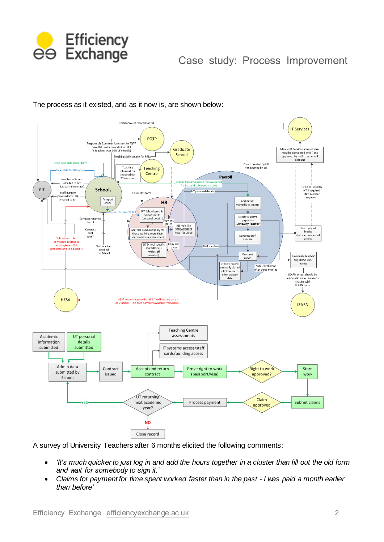

### Case study: Process Improvement



The process as it existed, and as it now is, are shown below:

A survey of University Teachers after 6 months elicited the following comments:

- *'It's much quicker to just log in and add the hours together in a cluster than fill out the old form and wait for somebody to sign it.'*
- *Claims for payment for time spent worked faster than in the past - I was paid a month earlier than before'*